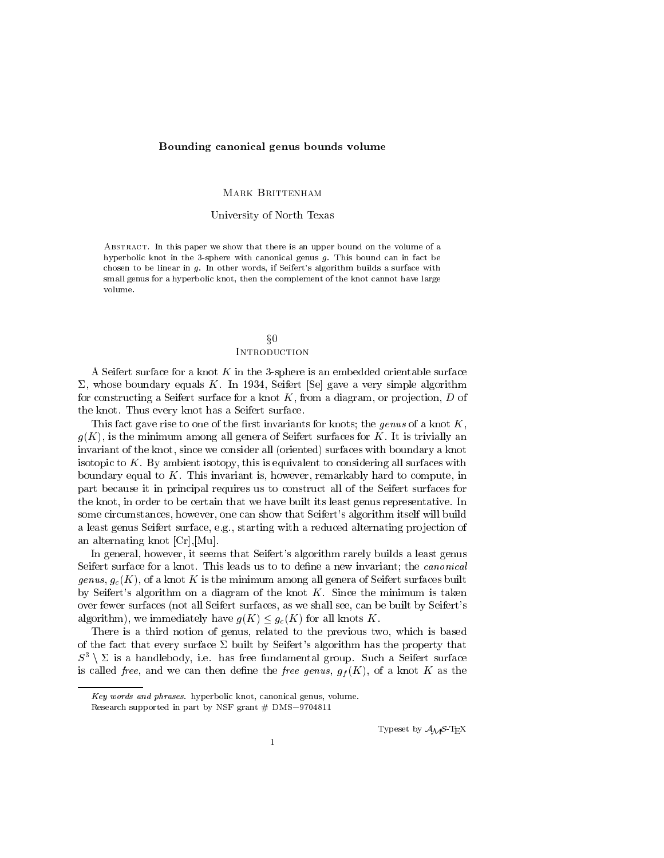### Bounding canonical genus bounds volume

#### Mark Brittenham

### University of North Texas

Abstract. In this paper we show that there is an upper bound on the volume of a hyperbolic knot in the 3-sphere with canonical genus  $g$ . This bound can in fact be chosen to be linear in g. In other words, if Seifert's algorithm builds a surface with small genus for a hyperbolic knot, then the complement of the knot cannot have large volume.

# $\S0$

## **INTRODUCTION**

A Seifert surface for a knot  $K$  in the 3-sphere is an embedded orientable surface  $\Sigma$ , whose boundary equals K. In 1934, Seifert [Se] gave a very simple algorithm for constructing a Seifert surface for a knot  $K$ , from a diagram, or projection,  $D$  of the knot. Thus every knot has a Seifert surface.

This fact gave rise to one of the first invariants for knots; the genus of a knot  $K$ ,  $g(K)$ , is the minimum among all genera of Seifert surfaces for K. It is trivially an invariant of the knot, since we consider all (oriented) surfaces with boundary a knot isotopic to  $K$ . By ambient isotopy, this is equivalent to considering all surfaces with boundary equal to  $K$ . This invariant is, however, remarkably hard to compute, in part because it in principal requires us to construct all of the Seifert surfaces for the knot, in order to be certain that we have built its least genus representative. In some circumstances, however, one can show that Seifert's algorithm itself will build a least genus Seifert surface, e.g., starting with a reduced alternating projection of an alternating knot [Cr],[Mu].

In general, however, it seems that Seifert's algorithm rarely builds a least genus Seifert surface for a knot. This leads us to to define a new invariant; the *canonical* genus,  $g_c(K)$ , of a knot K is the minimum among all genera of Seifert surfaces built by Seifert's algorithm on a diagram of the knot  $K$ . Since the minimum is taken over fewer surfaces (not all Seifert surfaces, as we shall see, can be built by Seifert's algorithm), we immediately have  $g(K) \leq g_c(K)$  for all knots K.

There is a third notion of genus, related to the previous two, which is based of the fact that every surface  $\Sigma$  built by Seifert's algorithm has the property that  $S^3 \setminus \Sigma$  is a handlebody, i.e. has free fundamental group. Such a Seifert surface is called free, and we can then define the free genus,  $g_f(K)$ , of a knot K as the

Typeset by  $\mathcal{A}_{\mathcal{M}}\mathcal{S}\text{-}\mathrm{Tr}\mathrm{X}$ 

Key words and phrases. hyperbolic knot, canonical genus, volume.

Research supported in part by NSF grant  $\#$  DMS-9704811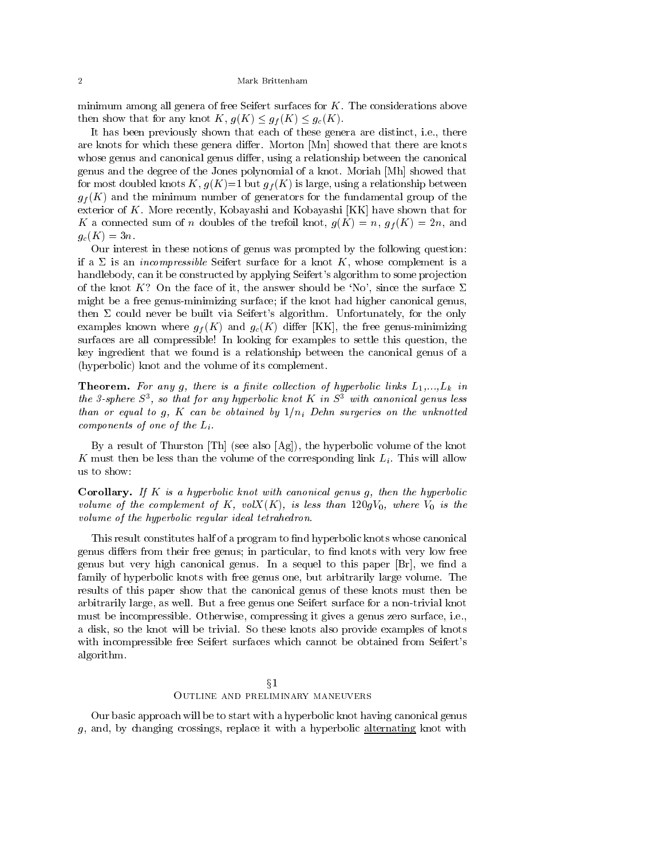minimum among all genera of free Seifert surfaces for  $K$ . The considerations above then show that for any knot  $K, g(K) \leq g_f(K) \leq g_c(K)$ .

It has been previously shown that each of these genera are distinct, i.e., there are knots for which these genera differ. Morton [Mn] showed that there are knots whose genus and canonical genus differ, using a relationship between the canonical genus and the degree of the Jones polynomial of a knot. Moriah [Mh] showed that for most doubled knots  $K, g(K)=1$  but  $g_f(K)$  is large, using a relationship between  $g_f(K)$  and the minimum number of generators for the fundamental group of the exterior of K. More recently, Kobayashi and Kobayashi [KK] have shown that for K a connected sum of n doubles of the trefoil knot,  $g(K) = n$ ,  $g_f(K) = 2n$ , and  $g_c(K)=3n$ .

Our interest in these notions of genus was prompted by the following question: if a  $\Sigma$  is an *incompressible* Seifert surface for a knot K, whose complement is a handlebody, can it be constructed by applying Seifert's algorithm to some projection of the knot K? On the face of it, the answer should be 'No', since the surface  $\Sigma$ might be a free genus-minimizing surface; if the knot had higher canonical genus, then  $\Sigma$  could never be built via Seifert's algorithm. Unfortunately, for the only examples known where  $g_f(K)$  and  $g_c(K)$  differ [KK], the free genus-minimizing surfaces are all compressible! In looking for examples to settle this question, the key ingredient that we found is a relationship between the canonical genus of a (hyperbolic) knot and the volume of its complement.

**Theorem.** For any g, there is a finite collection of hyperbolic links  $L_1,...,L_k$  in the 3-sphere S<sup>3</sup> , so that for any hyperbolic knot K in S<sup>3</sup> with canonical genus less than or equal to <sup>g</sup>, <sup>K</sup> can be obtained by 1=ni Dehn surgeries on the unknotted components of one of the  $L_i$ .

By a result of Thurston [Th] (see also [Ag]), the hyperbolic volume of the knot K must then be less than the volume of the corresponding link  $L_i$ . This will allow us to show:

**Corollary.** If K is a hyperbolic knot with canonical genus g, then the hyperbolic volume of the complement of <sup>K</sup>, volX(K), is less than 120gV0, where V0 is the volume of the hyperbolic regular ideal tetrahedron.

This result constitutes half of a program to find hyperbolic knots whose canonical genus differs from their free genus; in particular, to find knots with very low free genus but very high canonical genus. In a sequel to this paper  $[Br]$ , we find a family of hyperbolic knots with free genus one, but arbitrarily large volume. The results of this paper show that the canonical genus of these knots must then be arbitrarily large, as well. But a free genus one Seifert surface for a non-trivial knot must be incompressible. Otherwise, compressing it gives a genus zero surface, i.e., a disk, so the knot will be trivial. So these knots also provide examples of knots with incompressible free Seifert surfaces which cannot be obtained from Seifert's algorithm.

# $\S1$ Outline and preliminary maneuvers

Our basic approach will be to start with a hyperbolic knot having canonical genus g, and, by changing crossings, replace it with a hyperbolic alternating knot with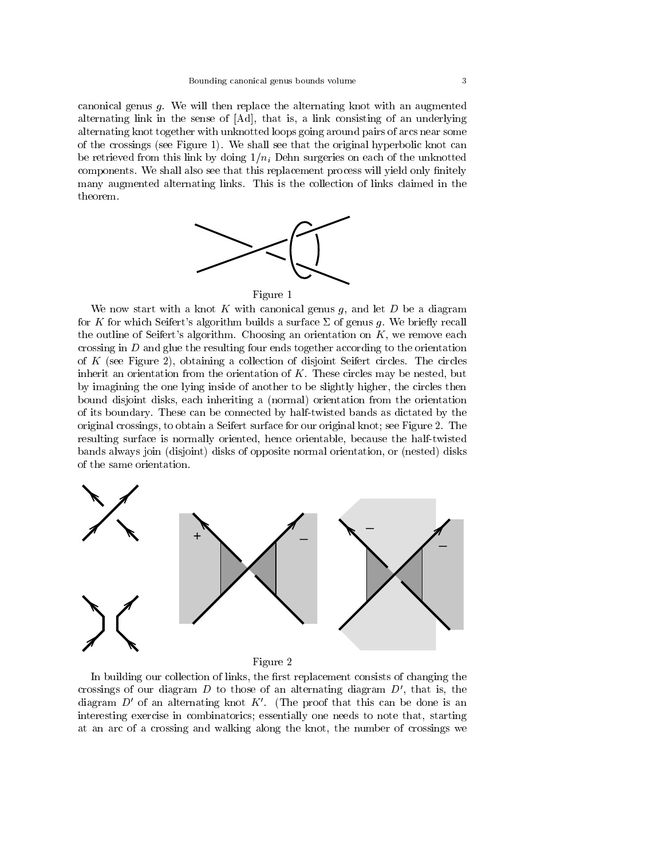canonical genus g. We will then replace the alternating knot with an augmented alternating link in the sense of [Ad], that is, a link consisting of an underlying alternating knot together with unknotted loops going around pairs of arcs near some of the crossings (see Figure 1). We shall see that the original hyperbolic knot can be retrieved from this link by doing  $1/n_i$  Dehn surgeries on each of the unknotted components. We shall also see that this replacement process will yield only finitely many augmented alternating links. This is the collection of links claimed in the theorem.



### Figure 1

We now start with a knot  $K$  with canonical genus  $g$ , and let  $D$  be a diagram for K for which Seifert's algorithm builds a surface  $\Sigma$  of genus g. We briefly recall the outline of Seifert's algorithm. Choosing an orientation on  $K$ , we remove each crossing in D and glue the resulting four ends together according to the orientation of K (see Figure 2), obtaining a collection of disjoint Seifert circles. The circles inherit an orientation from the orientation of  $K$ . These circles may be nested, but by imagining the one lying inside of another to be slightly higher, the circles then bound disjoint disks, each inheriting a (normal) orientation from the orientation of its boundary. These can be connected by half-twisted bands as dictated by the original crossings, to obtain a Seifert surface for our original knot; see Figure 2. The resulting surface is normally oriented, hence orientable, because the half-twisted bands always join (disjoint) disks of opposite normal orientation, or (nested) disks of the same orientation.



Figure 2

In building our collection of links, the first replacement consists of changing the crossings of our diagram  $D$  to those of an alternating diagram  $D'$ , that is, the diagram  $D'$  of an alternating knot K'. (The proof that this can be done is an interesting exercise in combinatorics; essentially one needs to note that, starting at an arc of a crossing and walking along the knot, the number of crossings we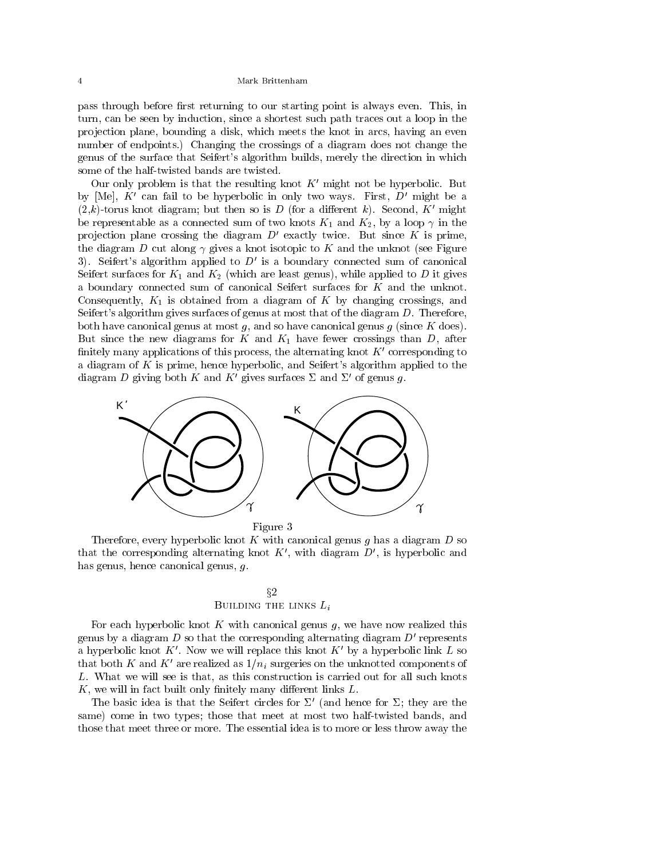pass through before first returning to our starting point is always even. This, in turn, can be seen by induction, since a shortest such path traces out a loop in the pro jection plane, bounding a disk, which meets the knot in arcs, having an even number of endpoints.) Changing the crossings of a diagram does not change the genus of the surface that Seifert's algorithm builds, merely the direction in which some of the half-twisted bands are twisted.

Our only problem is that the resulting knot  $K'$  might not be hyperbolic. But by [Me],  $K'$  can fail to be hyperbolic in only two ways. First,  $D'$  might be a  $(2,k)$ -torus knot diagram; but then so is D (for a different k). Second, K' might be representable as a connected sum of two knots  $K_1$  and  $K_2$ , by a loop  $\gamma$  in the projection plane crossing the diagram  $D'$  exactly twice. But since K is prime, the diagram D cut along  $\gamma$  gives a knot isotopic to K and the unknot (see Figure 3). Seifert's algorithm applied to  $D'$  is a boundary connected sum of canonical Seifert surfaces for  $K_1$  and  $K_2$  (which are least genus), while applied to D it gives a boundary connected sum of canonical Seifert surfaces for  $K$  and the unknot. Consequently,  $K_1$  is obtained from a diagram of K by changing crossings, and Seifert's algorithm gives surfaces of genus at most that of the diagram D. Therefore, both have canonical genus at most  $g$ , and so have canonical genus  $g$  (since  $K$  does). But since the new diagrams for K and  $K_1$  have fewer crossings than D, after finitely many applications of this process, the alternating knot  $K'$  corresponding to a diagram of K is prime, hence hyperbolic, and Seifert's algorithm applied to the diagram D giving both K and K' gives surfaces  $\Sigma$  and  $\Sigma'$  of genus g.



Figure 3

Therefore, every hyperbolic knot K with canonical genus q has a diagram  $D$  so that the corresponding alternating knot  $K'$ , with diagram  $D'$ , is hyperbolic and has genus, hence canonical genus, g.

# x2 Building the links Li

For each hyperbolic knot  $K$  with canonical genus  $g$ , we have now realized this genus by a diagram  $D$  so that the corresponding alternating diagram  $D'$  represents a hyperbolic knot K'. Now we will replace this knot K' by a hyperbolic link L so that both K and K' are realized as  $1/n_i$  surgeries on the unknotted components of L. What we will see is that, as this construction is carried out for all such knots  $K$ , we will in fact built only finitely many different links  $L$ .

The basic idea is that the Seifert circles for  $\Sigma'$  (and hence for  $\Sigma$ ; they are the same) come in two types; those that meet at most two half-twisted bands, and those that meet three or more. The essential idea is to more or less throw away the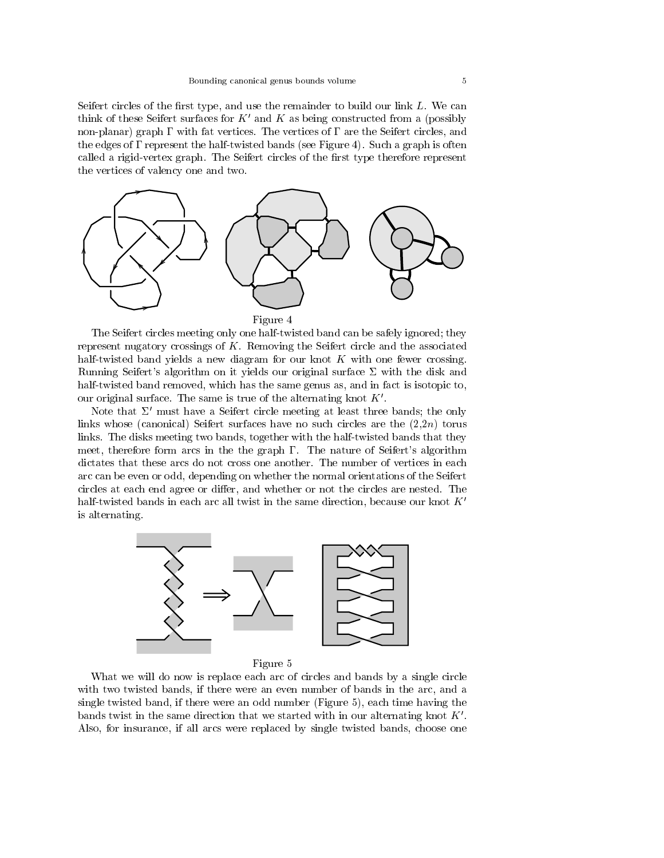Seifert circles of the first type, and use the remainder to build our link  $L$ . We can think of these Seifert surfaces for  $K'$  and  $K$  as being constructed from a (possibly non-planar) graph  $\Gamma$  with fat vertices. The vertices of  $\Gamma$  are the Seifert circles, and the edges of  $\Gamma$  represent the half-twisted bands (see Figure 4). Such a graph is often called a rigid-vertex graph. The Seifert circles of the first type therefore represent the vertices of valency one and two.



The Seifert circles meeting only one half-twisted band can be safely ignored; they represent nugatory crossings of K. Removing the Seifert circle and the associated half-twisted band yields a new diagram for our knot K with one fewer crossing. Running Seifert's algorithm on it yields our original surface  $\Sigma$  with the disk and half-twisted band removed, which has the same genus as, and in fact is isotopic to, our original surface. The same is true of the alternating knot  $K'$ .

Note that  $\Sigma'$  must have a Seifert circle meeting at least three bands; the only links whose (canonical) Seifert surfaces have no such circles are the  $(2,2n)$  torus links. The disks meeting two bands, together with the half-twisted bands that they meet, therefore form arcs in the the graph  $\Gamma$ . The nature of Seifert's algorithm dictates that these arcs do not cross one another. The number of vertices in each arc can be even or odd, depending on whether the normal orientations of the Seifert circles at each end agree or differ, and whether or not the circles are nested. The half-twisted bands in each arc all twist in the same direction, because our knot  $K'$ is alternating.



Figure 5

What we will do now is replace each arc of circles and bands by a single circle with two twisted bands, if there were an even number of bands in the arc, and a single twisted band, if there were an odd number (Figure 5), each time having the bands twist in the same direction that we started with in our alternating knot  $K'$ . Also, for insurance, if all arcs were replaced by single twisted bands, choose one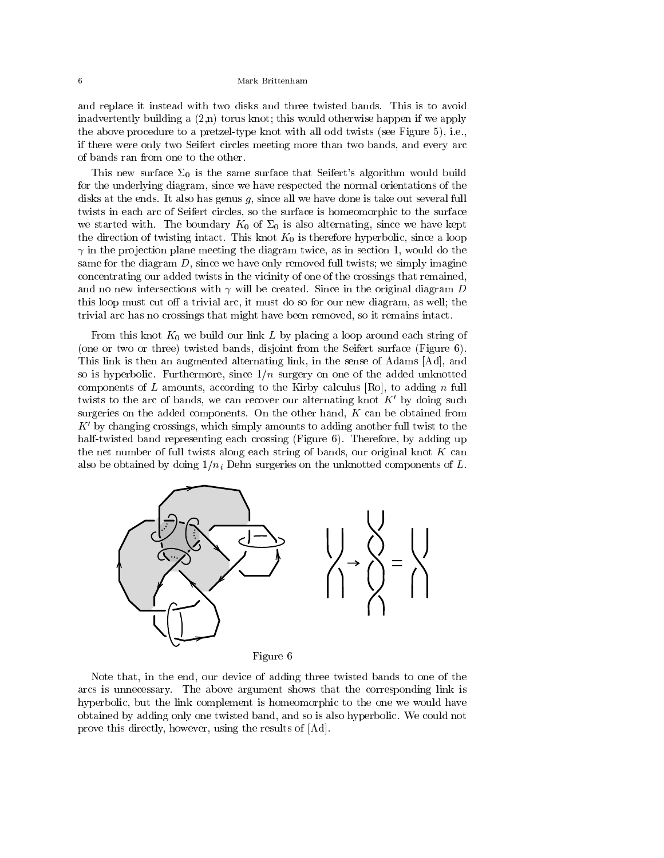and replace it instead with two disks and three twisted bands. This is to avoid inadvertently building a  $(2,n)$  torus knot; this would otherwise happen if we apply the above procedure to a pretzel-type knot with all odd twists (see Figure 5), i.e., if there were only two Seifert circles meeting more than two bands, and every arc of bands ran from one to the other.

This new surface  $\Sigma_0$  is the same surface that Seifert's algorithm would build for the underlying diagram, since we have respected the normal orientations of the disks at the ends. It also has genus  $g$ , since all we have done is take out several full twists in each arc of Seifert circles, so the surface is homeomorphic to the surface we started with. The boundary  $K_0$  of  $\Sigma_0$  is also alternating, since we have kept the direction of twisting intact. This knot  $K_0$  is therefore hyperbolic, since a loop  $\gamma$  in the projection plane meeting the diagram twice, as in section 1, would do the same for the diagram  $D$ , since we have only removed full twists; we simply imagine concentrating our added twists in the vicinity of one of the crossings that remained, and no new intersections with  $\gamma$  will be created. Since in the original diagram D this loop must cut off a trivial arc, it must do so for our new diagram, as well; the trivial arc has no crossings that might have been removed, so it remains intact.

From this knot  $K_0$  we build our link L by placing a loop around each string of (one or two or three) twisted bands, disjoint from the Seifert surface (Figure 6). This link is then an augmented alternating link, in the sense of Adams [Ad], and so is hyperbolic. Furthermore, since  $1/n$  surgery on one of the added unknotted components of  $L$  amounts, according to the Kirby calculus [Ro], to adding  $n$  full twists to the arc of bands, we can recover our alternating knot  $K'$  by doing such surgeries on the added components. On the other hand,  $K$  can be obtained from  $K'$  by changing crossings, which simply amounts to adding another full twist to the half-twisted band representing each crossing (Figure 6). Therefore, by adding up the net number of full twists along each string of bands, our original knot  $K$  can also be obtained by doing  $1/n_i$  Dehn surgeries on the unknotted components of L.



Note that, in the end, our device of adding three twisted bands to one of the arcs is unnecessary. The above argument shows that the corresponding link is hyperbolic, but the link complement is homeomorphic to the one we would have obtained by adding only one twisted band, and so is also hyperbolic. We could not prove this directly, however, using the results of [Ad].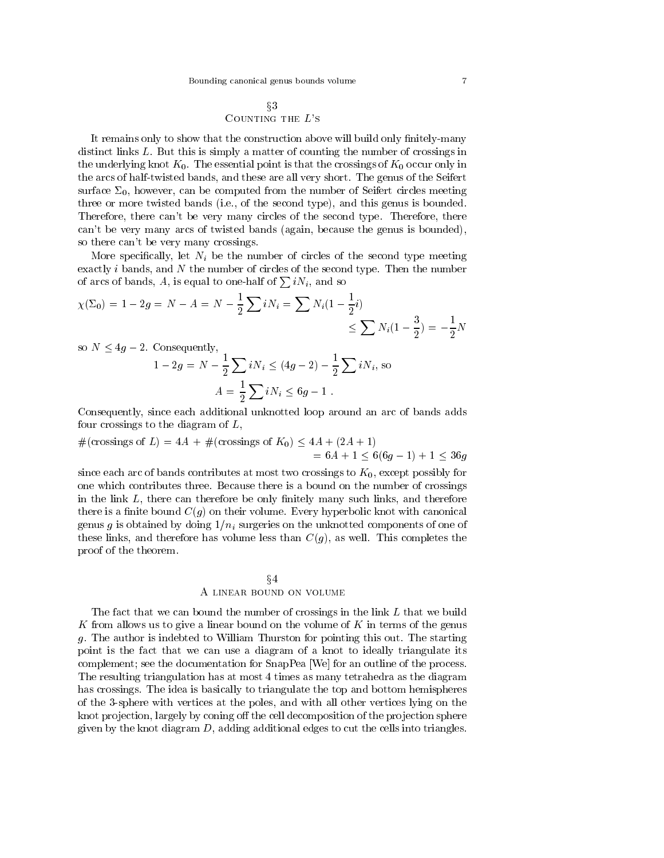$$
\S3
$$
 \n**COUNTING THE L'S**

It remains only to show that the construction above will build only finitely-many distinct links L. But this is simply a matter of counting the number of crossings in the underlying knot  $K_0$ . The essential point is that the crossings of  $K_0$  occur only in the arcs of half-twisted bands, and these are all very short. The genus of the Seifert surface  $\Sigma_0$ , however, can be computed from the number of Seifert circles meeting three or more twisted bands (i.e., of the second type), and this genus is bounded. Therefore, there can't be very many circles of the second type. Therefore, there can't be very many arcs of twisted bands (again, because the genus is bounded), so there can't be very many crossings.

More specifically, let  $N_i$  be the number of circles of the second type meeting exactly  $i$  bands, and  $N$  the number of circles of the second type. Then the number of arcs of bands, A, is equal to one-half of  $\sum iN_i$ , and so

$$
\chi(\Sigma_0) = 1 - 2g = N - A = N - \frac{1}{2} \sum_{i} i N_i = \sum_{i} N_i (1 - \frac{1}{2}i) \le \sum_{i} N_i (1 - \frac{3}{2}) = -\frac{1}{2}N
$$

so  $N \leq 4g - 2$ . Consequently,

$$
1 - 2g = N - \frac{1}{2} \sum iN_i \le (4g - 2) - \frac{1}{2} \sum iN_i, \text{ so}
$$

$$
A = \frac{1}{2} \sum iN_i \le 6g - 1.
$$

Consequently, since each additional unknotted loop around an arc of bands adds four crossings to the diagram of  $L$ ,

$$
#(crossings of L) = 4A + #(crossings of K0) \le 4A + (2A + 1)
$$
  
= 6A + 1 \le 6(6g - 1) + 1 \le 36g

since each arc of bands contributes at most two crossings to  $K_0$ , except possibly for one which contributes three. Because there is a bound on the number of crossings in the link  $L$ , there can therefore be only finitely many such links, and therefore there is a finite bound  $C(g)$  on their volume. Every hyperbolic knot with canonical genus g is obtained by doing  $1/n_i$  surgeries on the unknotted components of one of these links, and therefore has volume less than  $C(g)$ , as well. This completes the proof of the theorem.

# $\S4$ A LINEAR BOUND ON VOLUME

The fact that we can bound the number of crossings in the link L that we build K from allows us to give a linear bound on the volume of  $K$  in terms of the genus g. The author is indebted to William Thurston for pointing this out. The starting point is the fact that we can use a diagram of a knot to ideally triangulate its complement; see the documentation for SnapPea [We] for an outline of the process. The resulting triangulation has at most 4 times as many tetrahedra as the diagram has crossings. The idea is basically to triangulate the top and bottom hemispheres of the 3-sphere with vertices at the poles, and with all other vertices lying on the knot projection, largely by coning off the cell decomposition of the projection sphere given by the knot diagram  $D$ , adding additional edges to cut the cells into triangles.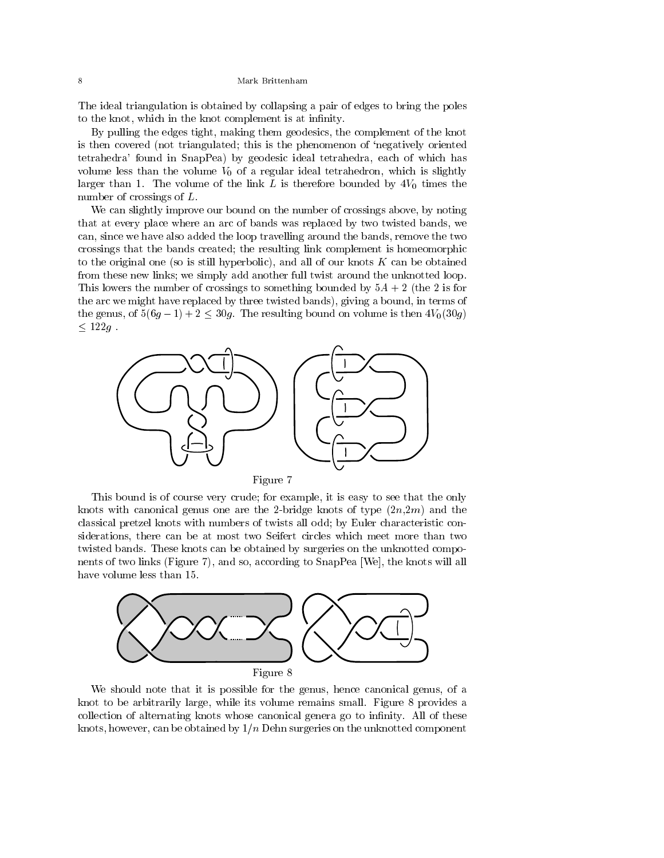The ideal triangulation is obtained by collapsing a pair of edges to bring the poles to the knot, which in the knot complement is at infinity.

By pulling the edges tight, making them geodesics, the complement of the knot is then covered (not triangulated; this is the phenomenon of `negatively oriented tetrahedra' found in SnapPea) by geodesic ideal tetrahedra, each of which has volume less than the volume  $V_0$  of a regular ideal tetrahedron, which is slightly larger than 1. The volume of the link  $L$  is therefore bounded by  $4V_0$  times the number of crossings of L.

We can slightly improve our bound on the number of crossings above, by noting that at every place where an arc of bands was replaced by two twisted bands, we can, since we have also added the loop travelling around the bands, remove the two crossings that the bands created; the resulting link complement is homeomorphic to the original one (so is still hyperbolic), and all of our knots  $K$  can be obtained from these new links; we simply add another full twist around the unknotted loop. This lowers the number of crossings to something bounded by  $5A + 2$  (the 2 is for the arc we might have replaced by three twisted bands), giving a bound, in terms of the genus, of  $5(6g-1)+2 \leq 30g$ . The resulting bound on volume is then  $4V_0(30g)$  $\leq 122g$ 



This bound is of course very crude; for example, it is easy to see that the only knots with canonical genus one are the 2-bridge knots of type  $(2n,2m)$  and the classical pretzel knots with numbers of twists all odd; by Euler characteristic considerations, there can be at most two Seifert circles which meet more than two twisted bands. These knots can be obtained by surgeries on the unknotted components of two links (Figure 7), and so, according to SnapPea [We], the knots will all have volume less than 15.



We should note that it is possible for the genus, hence canonical genus, of a knot to be arbitrarily large, while its volume remains small. Figure 8 provides a collection of alternating knots whose canonical genera go to infinity. All of these knots, however, can be obtained by  $1/n$  Dehn surgeries on the unknotted component